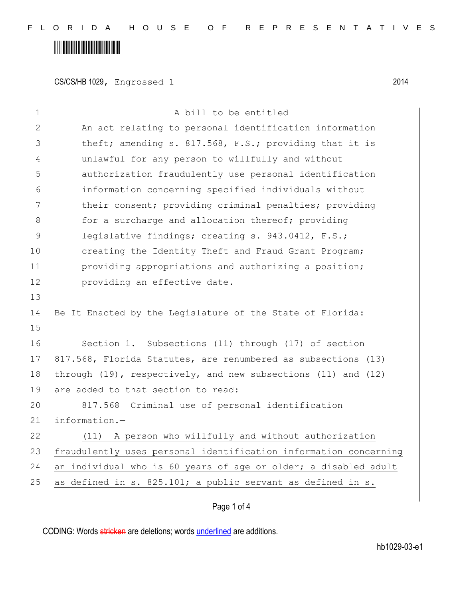## 

CS/CS/HB 1029, Engrossed 1 2014

| $\mathbf 1$  | A bill to be entitled                                                |
|--------------|----------------------------------------------------------------------|
| $\mathbf{2}$ | An act relating to personal identification information               |
| 3            | theft; amending s. 817.568, F.S.; providing that it is               |
| 4            | unlawful for any person to willfully and without                     |
| 5            | authorization fraudulently use personal identification               |
| 6            | information concerning specified individuals without                 |
| 7            | their consent; providing criminal penalties; providing               |
| 8            | for a surcharge and allocation thereof; providing                    |
| 9            | legislative findings; creating s. 943.0412, F.S.;                    |
| 10           | creating the Identity Theft and Fraud Grant Program;                 |
| 11           | providing appropriations and authorizing a position;                 |
| 12           | providing an effective date.                                         |
| 13           |                                                                      |
| 14           | Be It Enacted by the Legislature of the State of Florida:            |
| 15           |                                                                      |
| 16           | Section 1. Subsections (11) through (17) of section                  |
| 17           | 817.568, Florida Statutes, are renumbered as subsections (13)        |
| 18           | through $(19)$ , respectively, and new subsections $(11)$ and $(12)$ |
| 19           | are added to that section to read:                                   |
| 20           | 817.568 Criminal use of personal identification                      |
| 21           | information.-                                                        |
| 22           | (11) A person who willfully and without authorization                |
| 23           | fraudulently uses personal identification information concerning     |
| 24           | an individual who is 60 years of age or older; a disabled adult      |
| 25           | as defined in s. 825.101; a public servant as defined in s.          |
|              |                                                                      |

#### Page 1 of 4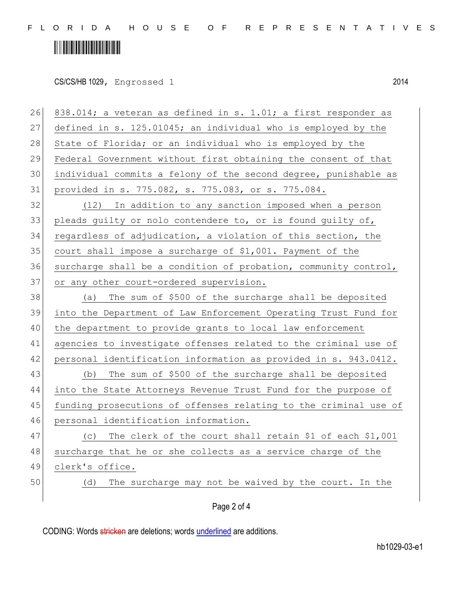F L O R I D A H O U S E O F R E P R E S E N T A T I V E S

## 

| 26 | 838.014; a veteran as defined in s. 1.01; a first responder as   |
|----|------------------------------------------------------------------|
| 27 | defined in s. 125.01045; an individual who is employed by the    |
| 28 | State of Florida; or an individual who is employed by the        |
| 29 | Federal Government without first obtaining the consent of that   |
| 30 | individual commits a felony of the second degree, punishable as  |
| 31 | provided in s. 775.082, s. 775.083, or s. 775.084.               |
| 32 | (12) In addition to any sanction imposed when a person           |
| 33 | pleads guilty or nolo contendere to, or is found guilty of,      |
| 34 | regardless of adjudication, a violation of this section, the     |
| 35 | court shall impose a surcharge of \$1,001. Payment of the        |
| 36 | surcharge shall be a condition of probation, community control,  |
| 37 | or any other court-ordered supervision.                          |
| 38 | (a) The sum of \$500 of the surcharge shall be deposited         |
| 39 | into the Department of Law Enforcement Operating Trust Fund for  |
| 40 | the department to provide grants to local law enforcement        |
| 41 | agencies to investigate offenses related to the criminal use of  |
| 42 | personal identification information as provided in s. 943.0412.  |
| 43 | The sum of \$500 of the surcharge shall be deposited<br>(b)      |
| 44 | into the State Attorneys Revenue Trust Fund for the purpose of   |
| 45 | funding prosecutions of offenses relating to the criminal use of |
| 46 | personal identification information.                             |
| 47 | The clerk of the court shall retain \$1 of each \$1,001<br>(C)   |
| 48 | surcharge that he or she collects as a service charge of the     |
| 49 | clerk's office.                                                  |
| 50 | The surcharge may not be waived by the court. In the<br>(d)      |
|    | Page 2 of 4                                                      |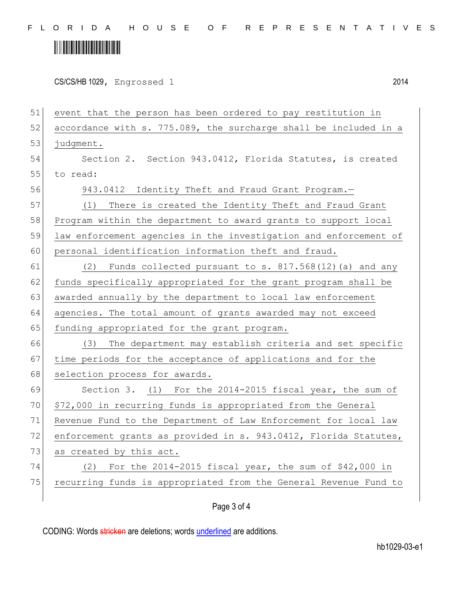F L O R I D A H O U S E O F R E P R E S E N T A T I V E S

### 

|  | CS/CS/HB 1029, Engrossed 1<br>. |  | 2014 |
|--|---------------------------------|--|------|
|--|---------------------------------|--|------|

51 event that the person has been ordered to pay restitution in 52 accordance with s. 775.089, the surcharge shall be included in a 53 judgment. 54 Section 2. Section 943.0412, Florida Statutes, is created 55 to read: 56 943.0412 Identity Theft and Fraud Grant Program.— 57 (1) There is created the Identity Theft and Fraud Grant 58 Program within the department to award grants to support local 59 law enforcement agencies in the investigation and enforcement of 60 personal identification information theft and fraud.  $61$  (2) Funds collected pursuant to s.  $817.568(12)$  (a) and any 62 funds specifically appropriated for the grant program shall be 63 awarded annually by the department to local law enforcement 64 agencies. The total amount of grants awarded may not exceed 65 funding appropriated for the grant program. 66 (3) The department may establish criteria and set specific 67 time periods for the acceptance of applications and for the 68 selection process for awards. 69 Section 3. (1) For the 2014-2015 fiscal year, the sum of 70 \$72,000 in recurring funds is appropriated from the General 71 Revenue Fund to the Department of Law Enforcement for local law 72 enforcement grants as provided in s. 943.0412, Florida Statutes, 73 as created by this act. 74 (2) For the 2014-2015 fiscal year, the sum of \$42,000 in 75 recurring funds is appropriated from the General Revenue Fund to

#### Page 3 of 4